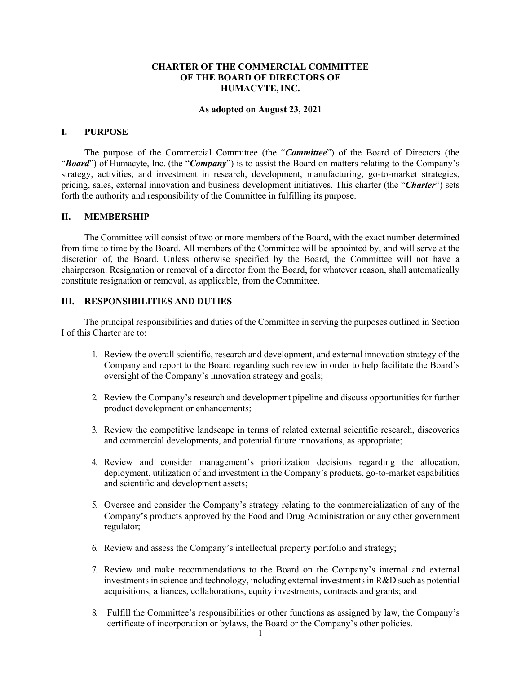## **CHARTER OF THE COMMERCIAL COMMITTEE OF THE BOARD OF DIRECTORS OF HUMACYTE,INC.**

#### **As adopted on August 23, 2021**

#### **I. PURPOSE**

The purpose of the Commercial Committee (the "*Committee*") of the Board of Directors (the "*Board*") of Humacyte, Inc. (the "*Company*") is to assist the Board on matters relating to the Company's strategy, activities, and investment in research, development, manufacturing, go-to-market strategies, pricing, sales, external innovation and business development initiatives. This charter (the "*Charter*") sets forth the authority and responsibility of the Committee in fulfilling its purpose.

#### **II. MEMBERSHIP**

The Committee will consist of two or more members of the Board, with the exact number determined from time to time by the Board. All members of the Committee will be appointed by, and will serve at the discretion of, the Board. Unless otherwise specified by the Board, the Committee will not have a chairperson. Resignation or removal of a director from the Board, for whatever reason, shall automatically constitute resignation or removal, as applicable, from the Committee.

### **III. RESPONSIBILITIES AND DUTIES**

The principal responsibilities and duties of the Committee in serving the purposes outlined in Section I of this Charter are to:

- 1. Review the overall scientific, research and development, and external innovation strategy of the Company and report to the Board regarding such review in order to help facilitate the Board's oversight of the Company's innovation strategy and goals;
- 2. Review the Company's research and development pipeline and discuss opportunities for further product development or enhancements;
- 3. Review the competitive landscape in terms of related external scientific research, discoveries and commercial developments, and potential future innovations, as appropriate;
- 4. Review and consider management's prioritization decisions regarding the allocation, deployment, utilization of and investment in the Company's products, go-to-market capabilities and scientific and development assets;
- 5. Oversee and consider the Company's strategy relating to the commercialization of any of the Company's products approved by the Food and Drug Administration or any other government regulator;
- 6. Review and assess the Company's intellectual property portfolio and strategy;
- 7. Review and make recommendations to the Board on the Company's internal and external investments in science and technology, including external investments in R&D such as potential acquisitions, alliances, collaborations, equity investments, contracts and grants; and
- 8. Fulfill the Committee's responsibilities or other functions as assigned by law, the Company's certificate of incorporation or bylaws, the Board or the Company's other policies.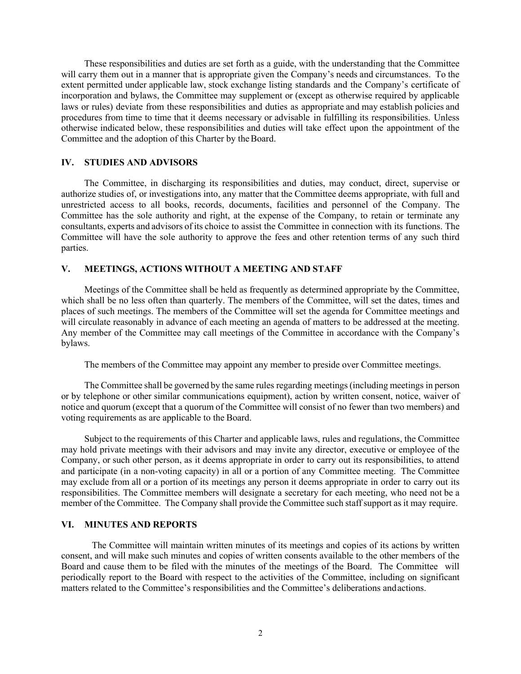These responsibilities and duties are set forth as a guide, with the understanding that the Committee will carry them out in a manner that is appropriate given the Company's needs and circumstances. To the extent permitted under applicable law, stock exchange listing standards and the Company's certificate of incorporation and bylaws, the Committee may supplement or (except as otherwise required by applicable laws or rules) deviate from these responsibilities and duties as appropriate and may establish policies and procedures from time to time that it deems necessary or advisable in fulfilling its responsibilities. Unless otherwise indicated below, these responsibilities and duties will take effect upon the appointment of the Committee and the adoption of this Charter by the Board.

#### **IV. STUDIES AND ADVISORS**

The Committee, in discharging its responsibilities and duties, may conduct, direct, supervise or authorize studies of, or investigations into, any matter that the Committee deems appropriate, with full and unrestricted access to all books, records, documents, facilities and personnel of the Company. The Committee has the sole authority and right, at the expense of the Company, to retain or terminate any consultants, experts and advisors of its choice to assist the Committee in connection with its functions. The Committee will have the sole authority to approve the fees and other retention terms of any such third parties.

## **V. MEETINGS, ACTIONS WITHOUT A MEETING AND STAFF**

Meetings of the Committee shall be held as frequently as determined appropriate by the Committee, which shall be no less often than quarterly. The members of the Committee, will set the dates, times and places of such meetings. The members of the Committee will set the agenda for Committee meetings and will circulate reasonably in advance of each meeting an agenda of matters to be addressed at the meeting. Any member of the Committee may call meetings of the Committee in accordance with the Company's bylaws.

The members of the Committee may appoint any member to preside over Committee meetings.

The Committee shall be governed by the same rules regarding meetings(including meetings in person or by telephone or other similar communications equipment), action by written consent, notice, waiver of notice and quorum (except that a quorum of the Committee will consist of no fewer than two members) and voting requirements as are applicable to the Board.

Subject to the requirements of this Charter and applicable laws, rules and regulations, the Committee may hold private meetings with their advisors and may invite any director, executive or employee of the Company, or such other person, as it deems appropriate in order to carry out its responsibilities, to attend and participate (in a non-voting capacity) in all or a portion of any Committee meeting. The Committee may exclude from all or a portion of its meetings any person it deems appropriate in order to carry out its responsibilities. The Committee members will designate a secretary for each meeting, who need not be a member of the Committee. The Company shall provide the Committee such staff support as it may require.

### **VI. MINUTES AND REPORTS**

The Committee will maintain written minutes of its meetings and copies of its actions by written consent, and will make such minutes and copies of written consents available to the other members of the Board and cause them to be filed with the minutes of the meetings of the Board. The Committee will periodically report to the Board with respect to the activities of the Committee, including on significant matters related to the Committee's responsibilities and the Committee's deliberations andactions.